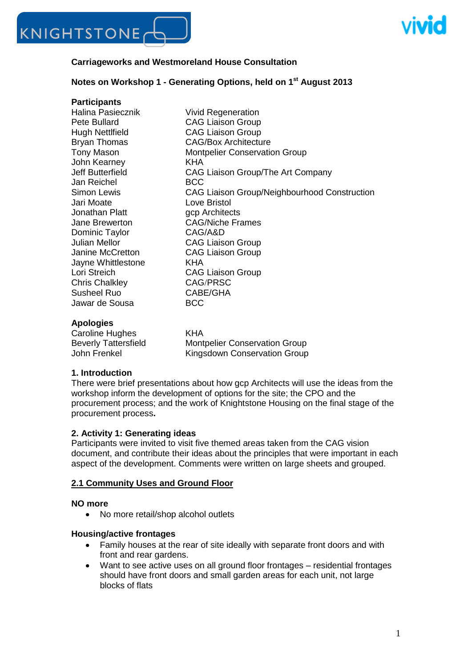



#### **Carriageworks and Westmoreland House Consultation**

#### **Notes on Workshop 1 - Generating Options, held on 1 st August 2013**

#### **Participants**

Halina Pasiecznik **Vivid Regeneration** Pete Bullard CAG Liaison Group Hugh Nettlfield CAG Liaison Group John Kearney<br>Jeff Butterfield **CAG** Jan Reichel BCC Jari Moate Love Bristol Jonathan Platt **gcp Architects** Jane Brewerton CAG/Niche Frames Dominic Taylor CAG/A&D Julian Mellor CAG Liaison Group Janine McCretton CAG Liaison Group Jayne Whittlestone KHA Lori Streich CAG Liaison Group Chris Chalkley CAG/PRSC Susheel Ruo CABE/GHA Jawar de Sousa BCC

Bryan Thomas CAG/Box Architecture Tony Mason Montpelier Conservation Group CAG Liaison Group/The Art Company Simon Lewis CAG Liaison Group/Neighbourhood Construction

#### **Apologies**

Caroline Hughes KHA Beverly Tattersfield Montpelier Conservation Group John Frenkel Kingsdown Conservation Group

#### **1. Introduction**

There were brief presentations about how gcp Architects will use the ideas from the workshop inform the development of options for the site; the CPO and the procurement process; and the work of Knightstone Housing on the final stage of the procurement process**.**

#### **2. Activity 1: Generating ideas**

Participants were invited to visit five themed areas taken from the CAG vision document, and contribute their ideas about the principles that were important in each aspect of the development. Comments were written on large sheets and grouped.

#### **2.1 Community Uses and Ground Floor**

#### **NO more**

• No more retail/shop alcohol outlets

#### **Housing/active frontages**

- Family houses at the rear of site ideally with separate front doors and with  $\bullet$ front and rear gardens.
- Want to see active uses on all ground floor frontages residential frontages  $\bullet$ should have front doors and small garden areas for each unit, not large blocks of flats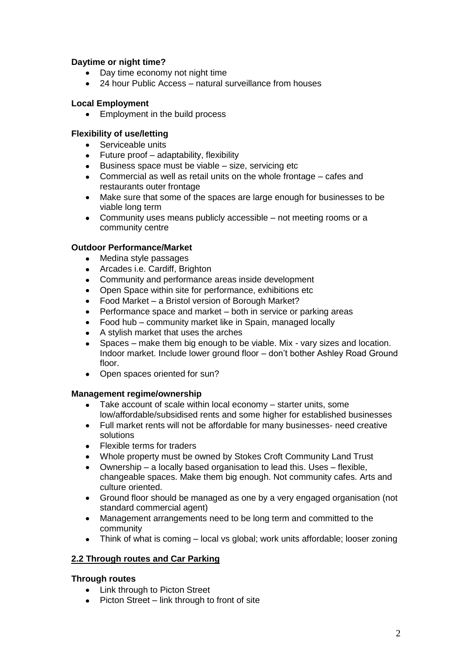## **Daytime or night time?**

- Day time economy not night time
- 24 hour Public Access natural surveillance from houses

## **Local Employment**

• Employment in the build process

## **Flexibility of use/letting**

- Serviceable units
- Future proof adaptability, flexibility
- $\bullet$  Business space must be viable size, servicing etc
- Commercial as well as retail units on the whole frontage cafes and restaurants outer frontage
- Make sure that some of the spaces are large enough for businesses to be  $\bullet$ viable long term
- $\bullet$ Community uses means publicly accessible – not meeting rooms or a community centre

## **Outdoor Performance/Market**

- Medina style passages  $\bullet$
- Arcades i.e. Cardiff, Brighton
- Community and performance areas inside development
- Open Space within site for performance, exhibitions etc
- Food Market a Bristol version of Borough Market?
- Performance space and market both in service or parking areas
- Food hub community market like in Spain, managed locally
- A stylish market that uses the arches
- Spaces make them big enough to be viable. Mix vary sizes and location.  $\bullet$ Indoor market. Include lower ground floor – don"t bother Ashley Road Ground floor.
- Open spaces oriented for sun?

## **Management regime/ownership**

- Take account of scale within local economy starter units, some low/affordable/subsidised rents and some higher for established businesses
- Full market rents will not be affordable for many businesses- need creative  $\bullet$ solutions
- Flexible terms for traders  $\bullet$
- Whole property must be owned by Stokes Croft Community Land Trust
- $\bullet$ Ownership – a locally based organisation to lead this. Uses – flexible, changeable spaces. Make them big enough. Not community cafes. Arts and culture oriented.
- $\bullet$ Ground floor should be managed as one by a very engaged organisation (not standard commercial agent)
- $\bullet$ Management arrangements need to be long term and committed to the community
- Think of what is coming local vs global; work units affordable; looser zoning

# **2.2 Through routes and Car Parking**

## **Through routes**

- Link through to Picton Street
- Picton Street link through to front of site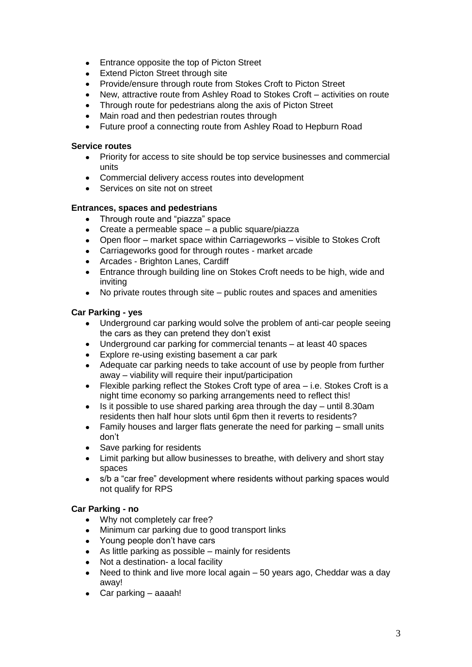- $\bullet$ Entrance opposite the top of Picton Street
- Extend Picton Street through site
- Provide/ensure through route from Stokes Croft to Picton Street  $\bullet$
- $\bullet$ New, attractive route from Ashley Road to Stokes Croft – activities on route
- Through route for pedestrians along the axis of Picton Street
- Main road and then pedestrian routes through
- Future proof a connecting route from Ashley Road to Hepburn Road

#### **Service routes**

- Priority for access to site should be top service businesses and commercial units
- Commercial delivery access routes into development
- Services on site not on street

## **Entrances, spaces and pedestrians**

- Through route and "piazza" space
- Create a permeable space a public square/piazza
- Open floor market space within Carriageworks visible to Stokes Croft
- Carriageworks good for through routes market arcade
- Arcades Brighton Lanes, Cardiff
- Entrance through building line on Stokes Croft needs to be high, wide and  $\bullet$ inviting
- No private routes through site public routes and spaces and amenities  $\bullet$

## **Car Parking - yes**

- Underground car parking would solve the problem of anti-car people seeing  $\bullet$ the cars as they can pretend they don't exist
- Underground car parking for commercial tenants at least 40 spaces
- Explore re-using existing basement a car park  $\bullet$
- Adequate car parking needs to take account of use by people from further  $\bullet$ away – viability will require their input/participation
- $\bullet$ Flexible parking reflect the Stokes Croft type of area – i.e. Stokes Croft is a night time economy so parking arrangements need to reflect this!
- Is it possible to use shared parking area through the day until 8.30am  $\bullet$ residents then half hour slots until 6pm then it reverts to residents?
- Family houses and larger flats generate the need for parking small units  $\bullet$ don"t
- Save parking for residents  $\bullet$
- Limit parking but allow businesses to breathe, with delivery and short stay spaces
- s/b a "car free" development where residents without parking spaces would not qualify for RPS

## **Car Parking - no**

- Why not completely car free?  $\bullet$
- $\bullet$ Minimum car parking due to good transport links
- Young people don't have cars
- As little parking as possible mainly for residents
- Not a destination- a local facility  $\bullet$
- Need to think and live more local again 50 years ago, Cheddar was a day  $\bullet$ away!
- Car parking aaaah!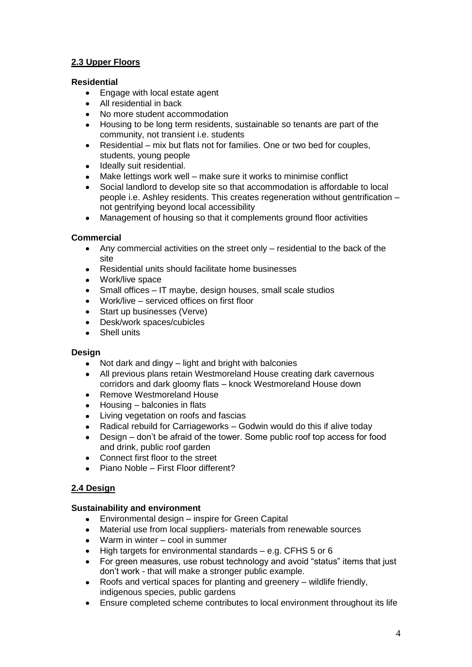# **2.3 Upper Floors**

## **Residential**

- Engage with local estate agent  $\bullet$
- $\bullet$ All residential in back
- No more student accommodation
- Housing to be long term residents, sustainable so tenants are part of the community, not transient i.e. students
- $\bullet$ Residential – mix but flats not for families. One or two bed for couples, students, young people
- Ideally suit residential.  $\bullet$
- Make lettings work well make sure it works to minimise conflict
- Social landlord to develop site so that accommodation is affordable to local people i.e. Ashley residents. This creates regeneration without gentrification – not gentrifying beyond local accessibility
- Management of housing so that it complements ground floor activities  $\bullet$

## **Commercial**

- Any commercial activities on the street only residential to the back of the site
- Residential units should facilitate home businesses
- Work/live space
- Small offices IT maybe, design houses, small scale studios  $\bullet$
- Work/live serviced offices on first floor
- Start up businesses (Verve)
- Desk/work spaces/cubicles
- Shell units  $\bullet$

## **Design**

- Not dark and dingy light and bright with balconies  $\bullet$
- All previous plans retain Westmoreland House creating dark cavernous corridors and dark gloomy flats – knock Westmoreland House down
- Remove Westmoreland House  $\bullet$
- Housing balconies in flats
- Living vegetation on roofs and fascias
- Radical rebuild for Carriageworks Godwin would do this if alive today
- $\bullet$ Design – don"t be afraid of the tower. Some public roof top access for food and drink, public roof garden
- Connect first floor to the street  $\bullet$
- Piano Noble First Floor different?  $\bullet$

# **2.4 Design**

## **Sustainability and environment**

- Environmental design inspire for Green Capital  $\bullet$
- Material use from local suppliers- materials from renewable sources
- Warm in winter cool in summer
- High targets for environmental standards e.g. CFHS 5 or 6  $\bullet$
- For green measures, use robust technology and avoid "status" items that just  $\bullet$ don"t work - that will make a stronger public example.
- Roofs and vertical spaces for planting and greenery wildlife friendly,  $\bullet$ indigenous species, public gardens
- Ensure completed scheme contributes to local environment throughout its life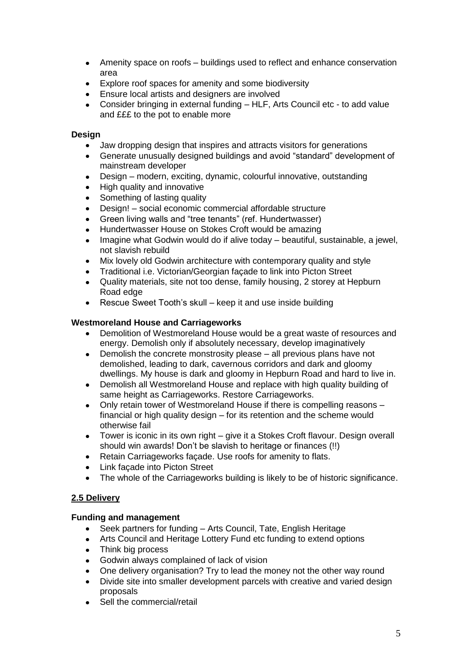- Amenity space on roofs buildings used to reflect and enhance conservation  $\bullet$ area
- $\bullet$ Explore roof spaces for amenity and some biodiversity
- Ensure local artists and designers are involved
- Consider bringing in external funding HLF, Arts Council etc to add value and £££ to the pot to enable more

## **Design**

- Jaw dropping design that inspires and attracts visitors for generations
- Generate unusually designed buildings and avoid "standard" development of mainstream developer
- Design modern, exciting, dynamic, colourful innovative, outstanding
- High quality and innovative
- Something of lasting quality
- Design! social economic commercial affordable structure
- Green living walls and "tree tenants" (ref. Hundertwasser)  $\bullet$
- Hundertwasser House on Stokes Croft would be amazing
- Imagine what Godwin would do if alive today beautiful, sustainable, a jewel, not slavish rebuild
- Mix lovely old Godwin architecture with contemporary quality and style
- Traditional i.e. Victorian/Georgian façade to link into Picton Street
- Quality materials, site not too dense, family housing, 2 storey at Hepburn Road edge
- Rescue Sweet Tooth"s skull keep it and use inside building  $\bullet$

## **Westmoreland House and Carriageworks**

- Demolition of Westmoreland House would be a great waste of resources and  $\bullet$ energy. Demolish only if absolutely necessary, develop imaginatively
- Demolish the concrete monstrosity please all previous plans have not demolished, leading to dark, cavernous corridors and dark and gloomy dwellings. My house is dark and gloomy in Hepburn Road and hard to live in.
- Demolish all Westmoreland House and replace with high quality building of  $\bullet$ same height as Carriageworks. Restore Carriageworks.
- Only retain tower of Westmoreland House if there is compelling reasons  $\bullet$ financial or high quality design – for its retention and the scheme would otherwise fail
- Tower is iconic in its own right give it a Stokes Croft flavour. Design overall should win awards! Don"t be slavish to heritage or finances (!!)
- $\bullet$ Retain Carriageworks façade. Use roofs for amenity to flats.
- Link façade into Picton Street
- The whole of the Carriageworks building is likely to be of historic significance.

# **2.5 Delivery**

## **Funding and management**

- Seek partners for funding Arts Council, Tate, English Heritage  $\bullet$
- Arts Council and Heritage Lottery Fund etc funding to extend options
- Think big process
- Godwin always complained of lack of vision
- One delivery organisation? Try to lead the money not the other way round  $\bullet$
- Divide site into smaller development parcels with creative and varied design  $\bullet$ proposals
- Sell the commercial/retail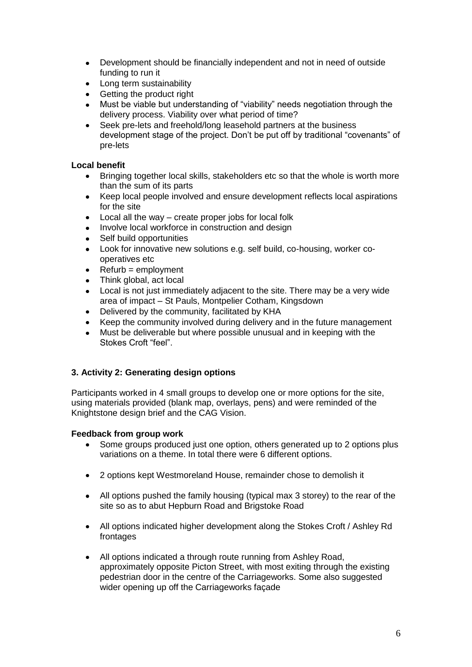- $\bullet$ Development should be financially independent and not in need of outside funding to run it
- Long term sustainability  $\bullet$
- Getting the product right  $\bullet$
- Must be viable but understanding of "viability" needs negotiation through the delivery process. Viability over what period of time?
- Seek pre-lets and freehold/long leasehold partners at the business development stage of the project. Don"t be put off by traditional "covenants" of pre-lets

## **Local benefit**

- Bringing together local skills, stakeholders etc so that the whole is worth more  $\bullet$ than the sum of its parts
- Keep local people involved and ensure development reflects local aspirations  $\bullet$ for the site
- $\bullet$ Local all the way – create proper jobs for local folk
- $\bullet$ Involve local workforce in construction and design
- Self build opportunities
- Look for innovative new solutions e.g. self build, co-housing, worker cooperatives etc
- Refurb = employment  $\bullet$
- Think global, act local
- Local is not just immediately adjacent to the site. There may be a very wide area of impact – St Pauls, Montpelier Cotham, Kingsdown
- Delivered by the community, facilitated by KHA
- Keep the community involved during delivery and in the future management
- Must be deliverable but where possible unusual and in keeping with the Stokes Croft "feel".

# **3. Activity 2: Generating design options**

Participants worked in 4 small groups to develop one or more options for the site, using materials provided (blank map, overlays, pens) and were reminded of the Knightstone design brief and the CAG Vision.

## **Feedback from group work**

- Some groups produced just one option, others generated up to 2 options plus variations on a theme. In total there were 6 different options.
- 2 options kept Westmoreland House, remainder chose to demolish it  $\bullet$
- All options pushed the family housing (typical max 3 storey) to the rear of the site so as to abut Hepburn Road and Brigstoke Road
- All options indicated higher development along the Stokes Croft / Ashley Rd frontages
- $\bullet$ All options indicated a through route running from Ashley Road, approximately opposite Picton Street, with most exiting through the existing pedestrian door in the centre of the Carriageworks. Some also suggested wider opening up off the Carriageworks façade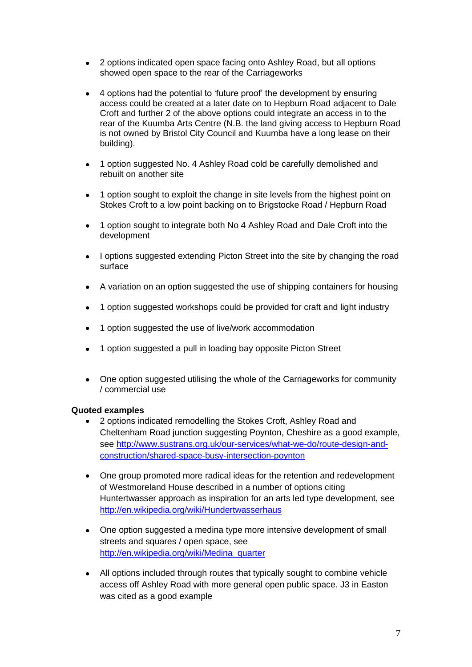- 2 options indicated open space facing onto Ashley Road, but all options  $\bullet$ showed open space to the rear of the Carriageworks
- 4 options had the potential to "future proof" the development by ensuring  $\bullet$ access could be created at a later date on to Hepburn Road adjacent to Dale Croft and further 2 of the above options could integrate an access in to the rear of the Kuumba Arts Centre (N.B. the land giving access to Hepburn Road is not owned by Bristol City Council and Kuumba have a long lease on their building).
- 1 option suggested No. 4 Ashley Road cold be carefully demolished and  $\bullet$ rebuilt on another site
- 1 option sought to exploit the change in site levels from the highest point on  $\bullet$ Stokes Croft to a low point backing on to Brigstocke Road / Hepburn Road
- 1 option sought to integrate both No 4 Ashley Road and Dale Croft into the  $\bullet$ development
- $\bullet$ I options suggested extending Picton Street into the site by changing the road surface
- A variation on an option suggested the use of shipping containers for housing
- 1 option suggested workshops could be provided for craft and light industry
- 1 option suggested the use of live/work accommodation
- 1 option suggested a pull in loading bay opposite Picton Street
- One option suggested utilising the whole of the Carriageworks for community / commercial use

## **Quoted examples**

- 2 options indicated remodelling the Stokes Croft, Ashley Road and  $\bullet$ Cheltenham Road junction suggesting Poynton, Cheshire as a good example, see [http://www.sustrans.org.uk/our-services/what-we-do/route-design-and](http://www.sustrans.org.uk/our-services/what-we-do/route-design-and-construction/shared-space-busy-intersection-poynton)[construction/shared-space-busy-intersection-poynton](http://www.sustrans.org.uk/our-services/what-we-do/route-design-and-construction/shared-space-busy-intersection-poynton)
- $\bullet$ One group promoted more radical ideas for the retention and redevelopment of Westmoreland House described in a number of options citing Huntertwasser approach as inspiration for an arts led type development, see <http://en.wikipedia.org/wiki/Hundertwasserhaus>
- $\bullet$ One option suggested a medina type more intensive development of small streets and squares / open space, see [http://en.wikipedia.org/wiki/Medina\\_quarter](http://en.wikipedia.org/wiki/Medina_quarter)
- All options included through routes that typically sought to combine vehicle access off Ashley Road with more general open public space. J3 in Easton was cited as a good example